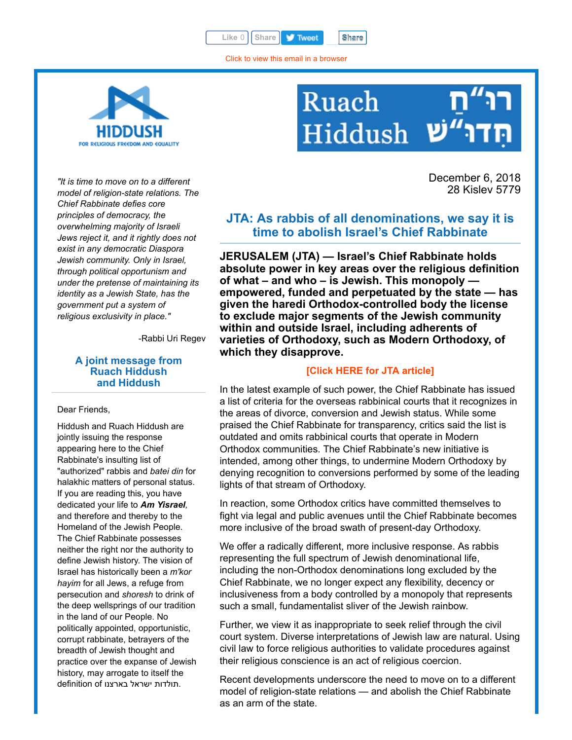Like 0 | [Share](javascript:void(0);) **| Tweet** | Share

[Click to view this email in a browser](http://hosted.verticalresponse.com/577764/2080353aaa/TEST/TEST/)



## Ruach Hiddush

December 6, 2018 28 Kislev 5779

*"It is time to move on to a different model of religion-state relations. The Chief Rabbinate defies core principles of democracy, the overwhelming majority of Israeli Jews reject it, and it rightly does not exist in any democratic Diaspora Jewish community. Only in Israel, through political opportunism and under the pretense of maintaining its identity as a Jewish State, has the government put a system of religious exclusivity in place."*

-Rabbi Uri Regev

## **A joint message from Ruach Hiddush and Hiddush**

Dear Friends,

Hiddush and Ruach Hiddush are jointly issuing the response appearing here to the Chief Rabbinate's insulting list of "authorized" rabbis and *batei din* for halakhic matters of personal status. If you are reading this, you have dedicated your life to *Am Yisrael,* and therefore and thereby to the Homeland of the Jewish People. The Chief Rabbinate possesses neither the right nor the authority to define Jewish history. The vision of Israel has historically been a *m'kor hayim* for all Jews, a refuge from persecution and *shoresh* to drink of the deep wellsprings of our tradition in the land of our People. No politically appointed, opportunistic, corrupt rabbinate, betrayers of the breadth of Jewish thought and practice over the expanse of Jewish history, may arrogate to itself the definition of תולדות ישראל בארצנו.

**JTA: As rabbis of all denominations, we say it is time to abolish Israel's Chief Rabbinate**

**JERUSALEM (JTA) — Israel's Chief Rabbinate holds absolute power in key areas over the religious definition of what – and who – is Jewish. This monopoly empowered, funded and perpetuated by the state — has given the haredi Orthodox-controlled body the license to exclude major segments of the Jewish community within and outside Israel, including adherents of varieties of Orthodoxy, such as Modern Orthodoxy, of which they disapprove.**

## **[\[Click HERE for JTA article\]](http://cts.vresp.com/c/?FreedomofReligionfor/2080353aaa/325ceb4427/87011f8094)**

In the latest example of such power, the Chief Rabbinate has issued a list of criteria for the overseas rabbinical courts that it recognizes in the areas of divorce, conversion and Jewish status. While some praised the Chief Rabbinate for transparency, critics said the list is outdated and omits rabbinical courts that operate in Modern Orthodox communities. The Chief Rabbinate's new initiative is intended, among other things, to undermine Modern Orthodoxy by denying recognition to conversions performed by some of the leading lights of that stream of Orthodoxy.

In reaction, some Orthodox critics have committed themselves to fight via legal and public avenues until the Chief Rabbinate becomes more inclusive of the broad swath of present-day Orthodoxy.

We offer a radically different, more inclusive response. As rabbis representing the full spectrum of Jewish denominational life, including the non-Orthodox denominations long excluded by the Chief Rabbinate, we no longer expect any flexibility, decency or inclusiveness from a body controlled by a monopoly that represents such a small, fundamentalist sliver of the Jewish rainbow.

Further, we view it as inappropriate to seek relief through the civil court system. Diverse interpretations of Jewish law are natural. Using civil law to force religious authorities to validate procedures against their religious conscience is an act of religious coercion.

Recent developments underscore the need to move on to a different model of religion-state relations — and abolish the Chief Rabbinate as an arm of the state.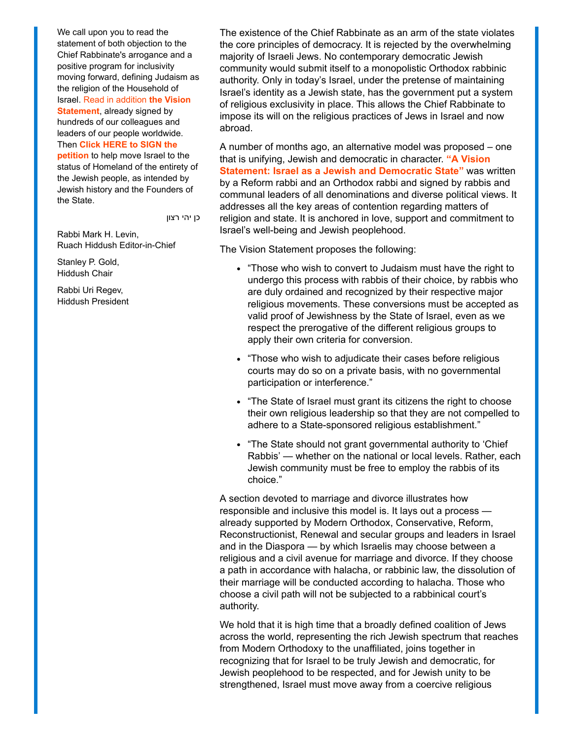We call upon you to read the statement of both objection to the Chief Rabbinate's arrogance and a positive program for inclusivity moving forward, defining Judaism as the religion of the Household of [Israel. Read in addition](http://cts.vresp.com/c/?FreedomofReligionfor/2080353aaa/325ceb4427/3b1a2bb0d2) **the Vision Statement**, already signed by hundreds of our colleagues and leaders of our people worldwide. Then **[Click HERE to SIGN the](http://cts.vresp.com/c/?FreedomofReligionfor/2080353aaa/325ceb4427/db16b6ba3d) petition** to help move Israel to the status of Homeland of the entirety of the Jewish people, as intended by Jewish history and the Founders of the State.

כן יהי רצון

Rabbi Mark H. Levin, Ruach Hiddush Editor-in-Chief

Stanley P. Gold, Hiddush Chair

Rabbi Uri Regev, Hiddush President

The existence of the Chief Rabbinate as an arm of the state violates the core principles of democracy. It is rejected by the overwhelming majority of Israeli Jews. No contemporary democratic Jewish community would submit itself to a monopolistic Orthodox rabbinic authority. Only in today's Israel, under the pretense of maintaining Israel's identity as a Jewish state, has the government put a system of religious exclusivity in place. This allows the Chief Rabbinate to impose its will on the religious practices of Jews in Israel and now abroad.

A number of months ago, an alternative model was proposed – one that is unifying, Jewish and democratic in character. **"A Vision [Statement: Israel as a Jewish and Democratic State"](http://cts.vresp.com/c/?FreedomofReligionfor/2080353aaa/325ceb4427/4386b98564)** was written by a Reform rabbi and an Orthodox rabbi and signed by rabbis and communal leaders of all denominations and diverse political views. It addresses all the key areas of contention regarding matters of religion and state. It is anchored in love, support and commitment to Israel's well-being and Jewish peoplehood.

The Vision Statement proposes the following:

- "Those who wish to convert to Judaism must have the right to undergo this process with rabbis of their choice, by rabbis who are duly ordained and recognized by their respective major religious movements. These conversions must be accepted as valid proof of Jewishness by the State of Israel, even as we respect the prerogative of the different religious groups to apply their own criteria for conversion.
- "Those who wish to adjudicate their cases before religious courts may do so on a private basis, with no governmental participation or interference."
- "The State of Israel must grant its citizens the right to choose their own religious leadership so that they are not compelled to adhere to a State-sponsored religious establishment."
- "The State should not grant governmental authority to 'Chief Rabbis' — whether on the national or local levels. Rather, each Jewish community must be free to employ the rabbis of its choice."

A section devoted to marriage and divorce illustrates how responsible and inclusive this model is. It lays out a process already supported by Modern Orthodox, Conservative, Reform, Reconstructionist, Renewal and secular groups and leaders in Israel and in the Diaspora — by which Israelis may choose between a religious and a civil avenue for marriage and divorce. If they choose a path in accordance with halacha, or rabbinic law, the dissolution of their marriage will be conducted according to halacha. Those who choose a civil path will not be subjected to a rabbinical court's authority.

We hold that it is high time that a broadly defined coalition of Jews across the world, representing the rich Jewish spectrum that reaches from Modern Orthodoxy to the unaffiliated, joins together in recognizing that for Israel to be truly Jewish and democratic, for Jewish peoplehood to be respected, and for Jewish unity to be strengthened, Israel must move away from a coercive religious